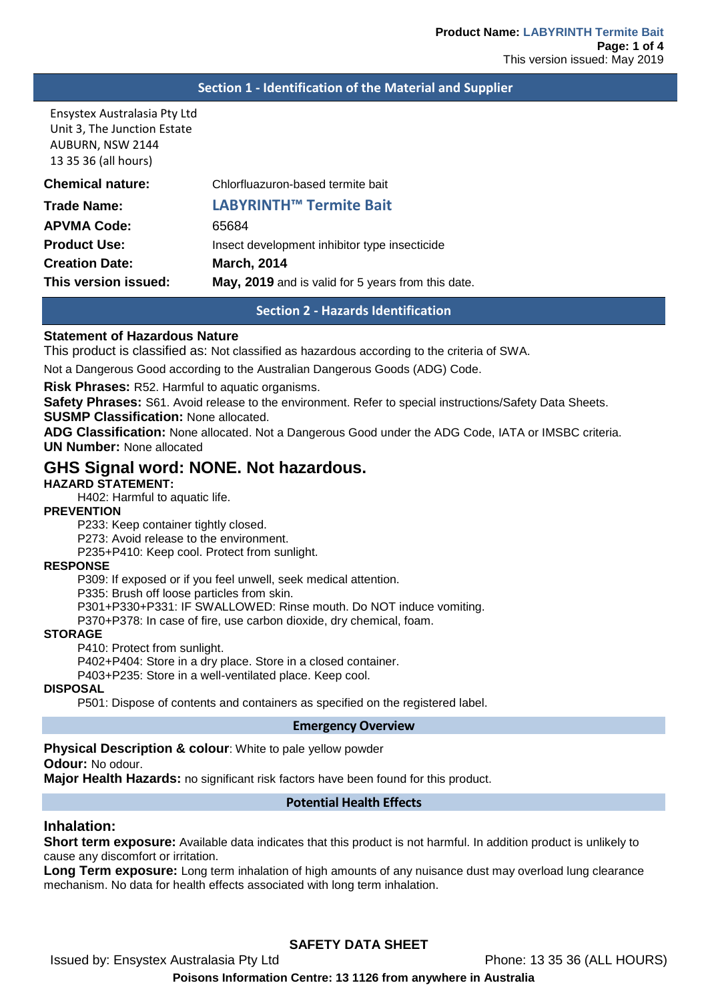### **Section 1 - Identification of the Material and Supplier**

Ensystex Australasia Pty Ltd Unit 3, The Junction Estate AUBURN, NSW 2144 13 35 36 (all hours)

| <b>Chemical nature:</b> | Chlorfluazuron-based termite bait                  |
|-------------------------|----------------------------------------------------|
| <b>Trade Name:</b>      | <b>LABYRINTH™ Termite Bait</b>                     |
| <b>APVMA Code:</b>      | 65684                                              |
| <b>Product Use:</b>     | Insect development inhibitor type insecticide      |
| <b>Creation Date:</b>   | <b>March, 2014</b>                                 |
| This version issued:    | May, 2019 and is valid for 5 years from this date. |
|                         |                                                    |

**Section 2 - Hazards Identification**

### **Statement of Hazardous Nature**

This product is classified as: Not classified as hazardous according to the criteria of SWA.

Not a Dangerous Good according to the Australian Dangerous Goods (ADG) Code.

**Risk Phrases:** R52. Harmful to aquatic organisms.

**Safety Phrases:** S61. Avoid release to the environment. Refer to special instructions/Safety Data Sheets.

**SUSMP Classification:** None allocated.

**ADG Classification:** None allocated. Not a Dangerous Good under the ADG Code, IATA or IMSBC criteria. **UN Number:** None allocated

## **GHS Signal word: NONE. Not hazardous.**

## **HAZARD STATEMENT:**

H402: Harmful to aquatic life.

#### **PREVENTION**

P233: Keep container tightly closed.

P273: Avoid release to the environment.

P235+P410: Keep cool. Protect from sunlight.

## **RESPONSE**

P309: If exposed or if you feel unwell, seek medical attention.

P335: Brush off loose particles from skin.

P301+P330+P331: IF SWALLOWED: Rinse mouth. Do NOT induce vomiting.

P370+P378: In case of fire, use carbon dioxide, dry chemical, foam.

### **STORAGE**

P410: Protect from sunlight.

P402+P404: Store in a dry place. Store in a closed container.

P403+P235: Store in a well-ventilated place. Keep cool.

#### **DISPOSAL**

P501: Dispose of contents and containers as specified on the registered label.

#### **Emergency Overview**

**Physical Description & colour**: White to pale yellow powder

**Odour:** No odour.

**Major Health Hazards:** no significant risk factors have been found for this product.

### **Potential Health Effects**

#### **Inhalation:**

**Short term exposure:** Available data indicates that this product is not harmful. In addition product is unlikely to cause any discomfort or irritation.

**Long Term exposure:** Long term inhalation of high amounts of any nuisance dust may overload lung clearance mechanism. No data for health effects associated with long term inhalation.

## **SAFETY DATA SHEET**

Issued by: Ensystex Australasia Pty Ltd Phone: 13 35 36 (ALL HOURS)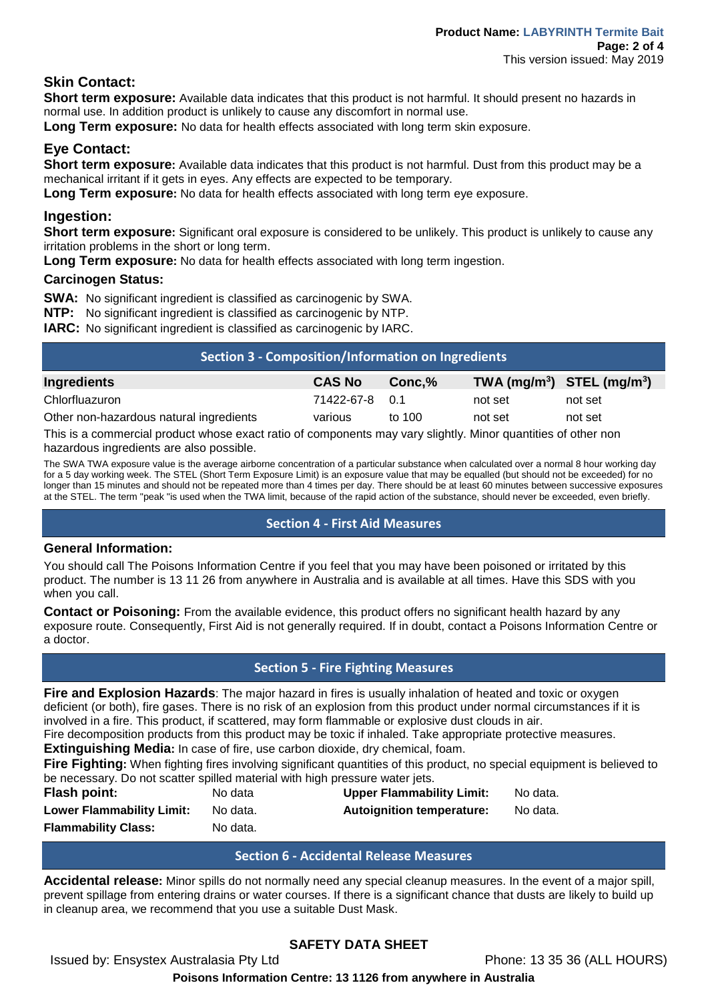# **Skin Contact:**

**Short term exposure:** Available data indicates that this product is not harmful. It should present no hazards in normal use. In addition product is unlikely to cause any discomfort in normal use.

**Long Term exposure:** No data for health effects associated with long term skin exposure.

# **Eye Contact:**

**Short term exposure:** Available data indicates that this product is not harmful. Dust from this product may be a mechanical irritant if it gets in eyes. Any effects are expected to be temporary.

**Long Term exposure:** No data for health effects associated with long term eye exposure.

## **Ingestion:**

**Short term exposure:** Significant oral exposure is considered to be unlikely. This product is unlikely to cause any irritation problems in the short or long term.

**Long Term exposure:** No data for health effects associated with long term ingestion.

## **Carcinogen Status:**

**SWA:** No significant ingredient is classified as carcinogenic by SWA.

**NTP:** No significant ingredient is classified as carcinogenic by NTP.

**IARC:** No significant ingredient is classified as carcinogenic by IARC.

| Section 3 - Composition/Information on Ingredients |               |        |                                |         |
|----------------------------------------------------|---------------|--------|--------------------------------|---------|
| <b>Ingredients</b>                                 | <b>CAS No</b> | Conc.% | TWA $(mg/m^3)$ STEL $(mg/m^3)$ |         |
| Chlorfluazuron                                     | 71422-67-8    |        | not set                        | not set |
| Other non-hazardous natural ingredients            | various       | to 100 | not set                        | not set |

This is a commercial product whose exact ratio of components may vary slightly. Minor quantities of other non hazardous ingredients are also possible.

The SWA TWA exposure value is the average airborne concentration of a particular substance when calculated over a normal 8 hour working day for a 5 day working week. The STEL (Short Term Exposure Limit) is an exposure value that may be equalled (but should not be exceeded) for no longer than 15 minutes and should not be repeated more than 4 times per day. There should be at least 60 minutes between successive exposures at the STEL. The term "peak "is used when the TWA limit, because of the rapid action of the substance, should never be exceeded, even briefly.

## **Section 4 - First Aid Measures**

## **General Information:**

You should call The Poisons Information Centre if you feel that you may have been poisoned or irritated by this product. The number is 13 11 26 from anywhere in Australia and is available at all times. Have this SDS with you when you call.

**Contact or Poisoning:** From the available evidence, this product offers no significant health hazard by any exposure route. Consequently, First Aid is not generally required. If in doubt, contact a Poisons Information Centre or a doctor.

## **Section 5 - Fire Fighting Measures**

**Fire and Explosion Hazards**: The major hazard in fires is usually inhalation of heated and toxic or oxygen deficient (or both), fire gases. There is no risk of an explosion from this product under normal circumstances if it is involved in a fire. This product, if scattered, may form flammable or explosive dust clouds in air.

Fire decomposition products from this product may be toxic if inhaled. Take appropriate protective measures. **Extinguishing Media:** In case of fire, use carbon dioxide, dry chemical, foam.

**Fire Fighting:** When fighting fires involving significant quantities of this product, no special equipment is believed to be necessary. Do not scatter spilled material with high pressure water jets.

| Flash point:                     | No data  | <b>Upper Flammability Limit:</b> | No data. |
|----------------------------------|----------|----------------------------------|----------|
| <b>Lower Flammability Limit:</b> | No data. | <b>Autoignition temperature:</b> | No data. |
| <b>Flammability Class:</b>       | No data. |                                  |          |

## **Section 6 - Accidental Release Measures**

**Accidental release:** Minor spills do not normally need any special cleanup measures. In the event of a major spill, prevent spillage from entering drains or water courses. If there is a significant chance that dusts are likely to build up in cleanup area, we recommend that you use a suitable Dust Mask.

# **SAFETY DATA SHEET**

Issued by: Ensystex Australasia Pty Ltd Phone: 13 35 36 (ALL HOURS)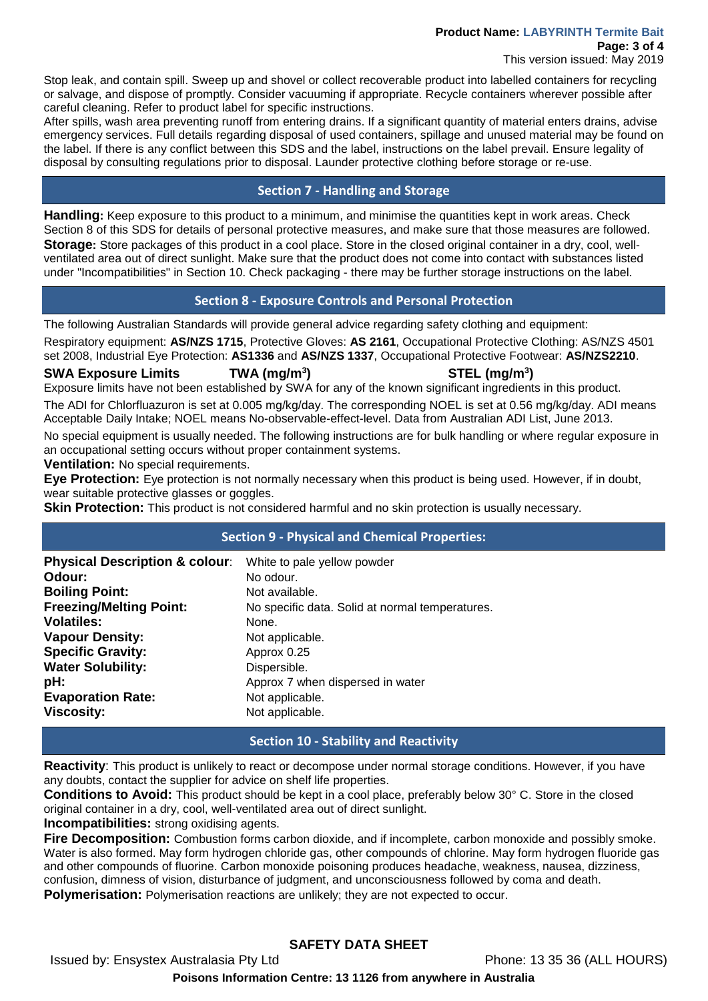#### **Product Name: LABYRINTH Termite Bait Page: 3 of 4** This version issued: May 2019

Stop leak, and contain spill. Sweep up and shovel or collect recoverable product into labelled containers for recycling or salvage, and dispose of promptly. Consider vacuuming if appropriate. Recycle containers wherever possible after careful cleaning. Refer to product label for specific instructions.

After spills, wash area preventing runoff from entering drains. If a significant quantity of material enters drains, advise emergency services. Full details regarding disposal of used containers, spillage and unused material may be found on the label. If there is any conflict between this SDS and the label, instructions on the label prevail. Ensure legality of disposal by consulting regulations prior to disposal. Launder protective clothing before storage or re-use.

## **Section 7 - Handling and Storage**

**Handling:** Keep exposure to this product to a minimum, and minimise the quantities kept in work areas. Check Section 8 of this SDS for details of personal protective measures, and make sure that those measures are followed. **Storage:** Store packages of this product in a cool place. Store in the closed original container in a dry, cool, wellventilated area out of direct sunlight. Make sure that the product does not come into contact with substances listed under "Incompatibilities" in Section 10. Check packaging - there may be further storage instructions on the label.

## **Section 8 - Exposure Controls and Personal Protection**

The following Australian Standards will provide general advice regarding safety clothing and equipment:

Respiratory equipment: **AS/NZS 1715**, Protective Gloves: **AS 2161**, Occupational Protective Clothing: AS/NZS 4501 set 2008, Industrial Eye Protection: **AS1336** and **AS/NZS 1337**, Occupational Protective Footwear: **AS/NZS2210**.

### **SWA Exposure Limits TWA (mg/m3**

**) STEL (mg/m3 )**

Exposure limits have not been established by SWA for any of the known significant ingredients in this product. The ADI for Chlorfluazuron is set at 0.005 mg/kg/day. The corresponding NOEL is set at 0.56 mg/kg/day. ADI means Acceptable Daily Intake; NOEL means No-observable-effect-level. Data from Australian ADI List, June 2013.

No special equipment is usually needed. The following instructions are for bulk handling or where regular exposure in an occupational setting occurs without proper containment systems.

**Ventilation:** No special requirements.

**Eye Protection:** Eye protection is not normally necessary when this product is being used. However, if in doubt, wear suitable protective glasses or goggles.

**Skin Protection:** This product is not considered harmful and no skin protection is usually necessary.

## **Section 9 - Physical and Chemical Properties:**

| <b>Physical Description &amp; colour:</b><br>Odour: | White to pale yellow powder<br>No odour.        |
|-----------------------------------------------------|-------------------------------------------------|
| <b>Boiling Point:</b>                               | Not available.                                  |
| <b>Freezing/Melting Point:</b>                      | No specific data. Solid at normal temperatures. |
| <b>Volatiles:</b>                                   | None.                                           |
| <b>Vapour Density:</b>                              | Not applicable.                                 |
| <b>Specific Gravity:</b>                            | Approx 0.25                                     |
| <b>Water Solubility:</b>                            | Dispersible.                                    |
| pH:                                                 | Approx 7 when dispersed in water                |
| <b>Evaporation Rate:</b>                            | Not applicable.                                 |
| <b>Viscosity:</b>                                   | Not applicable.                                 |

## **Section 10 - Stability and Reactivity**

**Reactivity**: This product is unlikely to react or decompose under normal storage conditions. However, if you have any doubts, contact the supplier for advice on shelf life properties.

**Conditions to Avoid:** This product should be kept in a cool place, preferably below 30° C. Store in the closed original container in a dry, cool, well-ventilated area out of direct sunlight.

**Incompatibilities:** strong oxidising agents.

**Fire Decomposition:** Combustion forms carbon dioxide, and if incomplete, carbon monoxide and possibly smoke. Water is also formed. May form hydrogen chloride gas, other compounds of chlorine. May form hydrogen fluoride gas and other compounds of fluorine. Carbon monoxide poisoning produces headache, weakness, nausea, dizziness, confusion, dimness of vision, disturbance of judgment, and unconsciousness followed by coma and death.

**Polymerisation:** Polymerisation reactions are unlikely; they are not expected to occur.

## **SAFETY DATA SHEET**

Issued by: Ensystex Australasia Pty Ltd Phone: 13 35 36 (ALL HOURS)